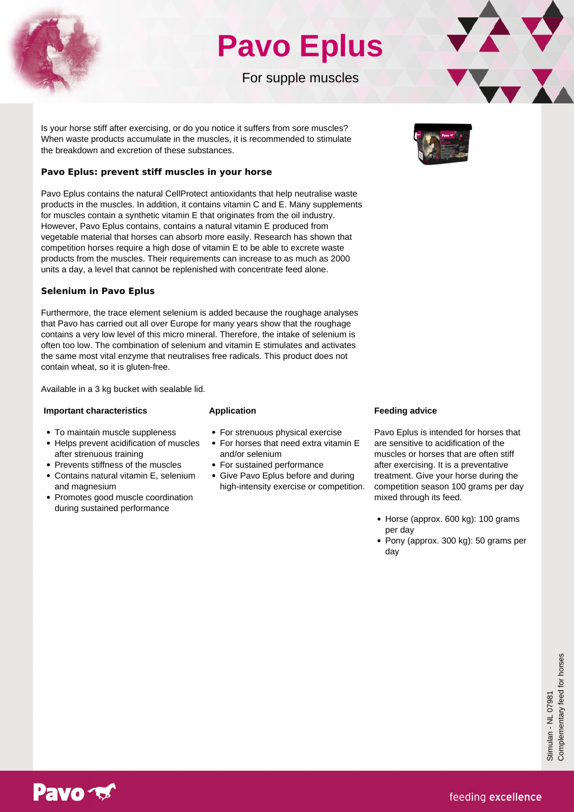

## **Pavo Eplus**

For supple muscles



## **Pavo Eplus: prevent stiff muscles in your horse**

Pavo Eplus contains the natural CellProtect antioxidants that help neutralise waste products in the muscles. In addition, it contains vitamin C and E. Many supplements for muscles contain a synthetic vitamin E that originates from the oil industry. However, Pavo Eplus contains, contains a natural vitamin E produced from vegetable material that horses can absorb more easily. Research has shown that competition horses require a high dose of vitamin E to be able to excrete waste products from the muscles. Their requirements can increase to as much as 2000 units a day, a level that cannot be replenished with concentrate feed alone.

## **Selenium in Pavo Eplus**

Furthermore, the trace element selenium is added because the roughage analyses that Pavo has carried out all over Europe for many years show that the roughage contains a very low level of this micro mineral. Therefore, the intake of selenium is often too low. The combination of selenium and vitamin E stimulates and activates the same most vital enzyme that neutralises free radicals. This product does not contain wheat, so it is gluten-free.

Available in a 3 kg bucket with sealable lid.

## **Important characteristics**

#### • To maintain muscle suppleness

- Helps prevent acidification of muscles after strenuous training
- Prevents stiffness of the muscles
- Contains natural vitamin E, selenium and magnesium
- Promotes good muscle coordination during sustained performance
- **Application**
- For strenuous physical exercise
- For horses that need extra vitamin E and/or selenium
- For sustained performance
- Give Pavo Eplus before and during high-intensity exercise or competition.

## **Feeding advice**

Pavo Eplus is intended for horses that are sensitive to acidification of the muscles or horses that are often stiff after exercising. It is a preventative treatment. Give your horse during the competition season 100 grams per day mixed through its feed.

- Horse (approx. 600 kg): 100 grams per day
- Pony (approx. 300 kg): 50 grams per day



22